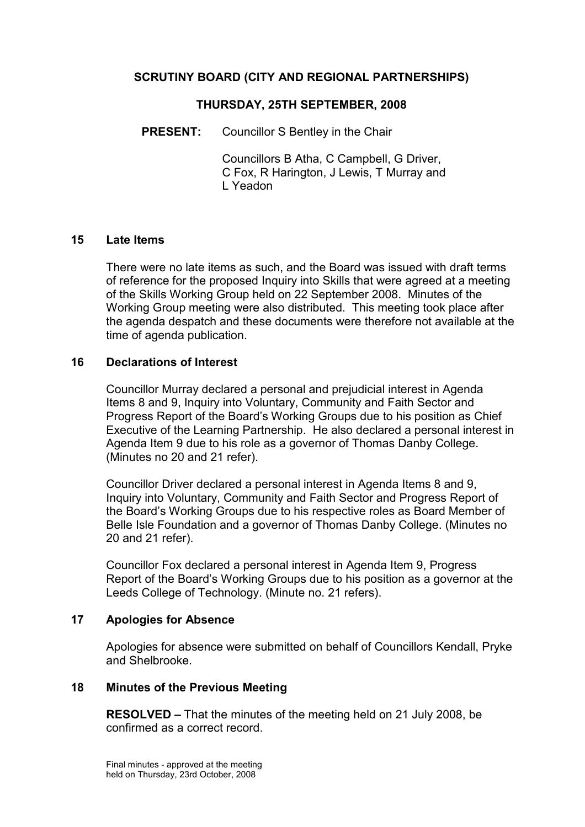## SCRUTINY BOARD (CITY AND REGIONAL PARTNERSHIPS)

#### THURSDAY, 25TH SEPTEMBER, 2008

PRESENT: Councillor S Bentley in the Chair

 Councillors B Atha, C Campbell, G Driver, C Fox, R Harington, J Lewis, T Murray and L Yeadon

#### 15 Late Items

There were no late items as such, and the Board was issued with draft terms of reference for the proposed Inquiry into Skills that were agreed at a meeting of the Skills Working Group held on 22 September 2008. Minutes of the Working Group meeting were also distributed. This meeting took place after the agenda despatch and these documents were therefore not available at the time of agenda publication.

#### 16 Declarations of Interest

Councillor Murray declared a personal and prejudicial interest in Agenda Items 8 and 9, Inquiry into Voluntary, Community and Faith Sector and Progress Report of the Board's Working Groups due to his position as Chief Executive of the Learning Partnership. He also declared a personal interest in Agenda Item 9 due to his role as a governor of Thomas Danby College. (Minutes no 20 and 21 refer).

Councillor Driver declared a personal interest in Agenda Items 8 and 9, Inquiry into Voluntary, Community and Faith Sector and Progress Report of the Board's Working Groups due to his respective roles as Board Member of Belle Isle Foundation and a governor of Thomas Danby College. (Minutes no 20 and 21 refer).

Councillor Fox declared a personal interest in Agenda Item 9, Progress Report of the Board's Working Groups due to his position as a governor at the Leeds College of Technology. (Minute no. 21 refers).

### 17 Apologies for Absence

Apologies for absence were submitted on behalf of Councillors Kendall, Pryke and Shelbrooke.

### 18 Minutes of the Previous Meeting

RESOLVED – That the minutes of the meeting held on 21 July 2008, be confirmed as a correct record.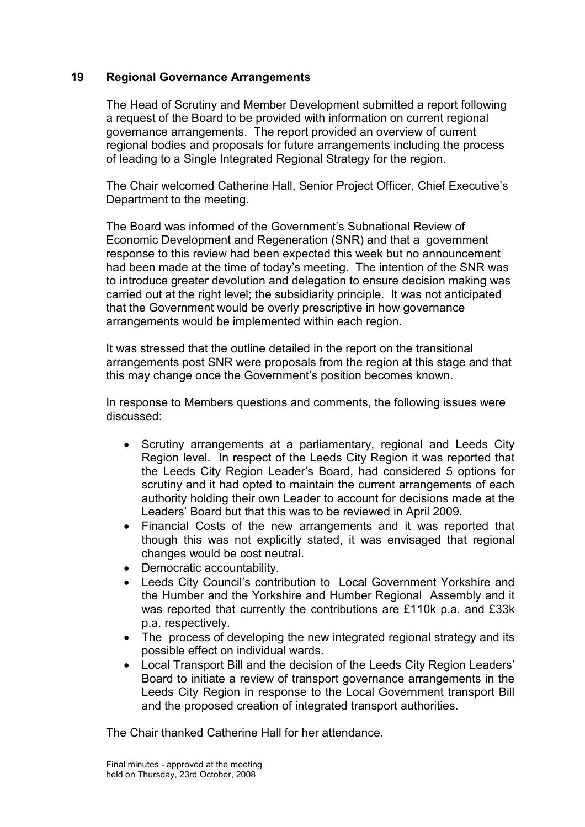### 19 Regional Governance Arrangements

The Head of Scrutiny and Member Development submitted a report following a request of the Board to be provided with information on current regional governance arrangements. The report provided an overview of current regional bodies and proposals for future arrangements including the process of leading to a Single Integrated Regional Strategy for the region.

The Chair welcomed Catherine Hall, Senior Project Officer, Chief Executive's Department to the meeting.

The Board was informed of the Government's Subnational Review of Economic Development and Regeneration (SNR) and that a government response to this review had been expected this week but no announcement had been made at the time of today's meeting. The intention of the SNR was to introduce greater devolution and delegation to ensure decision making was carried out at the right level; the subsidiarity principle. It was not anticipated that the Government would be overly prescriptive in how governance arrangements would be implemented within each region.

It was stressed that the outline detailed in the report on the transitional arrangements post SNR were proposals from the region at this stage and that this may change once the Government's position becomes known.

In response to Members questions and comments, the following issues were discussed:

- Scrutiny arrangements at a parliamentary, regional and Leeds City Region level. In respect of the Leeds City Region it was reported that the Leeds City Region Leader's Board, had considered 5 options for scrutiny and it had opted to maintain the current arrangements of each authority holding their own Leader to account for decisions made at the Leaders' Board but that this was to be reviewed in April 2009.
- Financial Costs of the new arrangements and it was reported that though this was not explicitly stated, it was envisaged that regional changes would be cost neutral.
- Democratic accountability.
- Leeds City Council's contribution to Local Government Yorkshire and the Humber and the Yorkshire and Humber Regional Assembly and it was reported that currently the contributions are £110k p.a. and £33k p.a. respectively.
- The process of developing the new integrated regional strategy and its possible effect on individual wards.
- Local Transport Bill and the decision of the Leeds City Region Leaders' Board to initiate a review of transport governance arrangements in the Leeds City Region in response to the Local Government transport Bill and the proposed creation of integrated transport authorities.

The Chair thanked Catherine Hall for her attendance.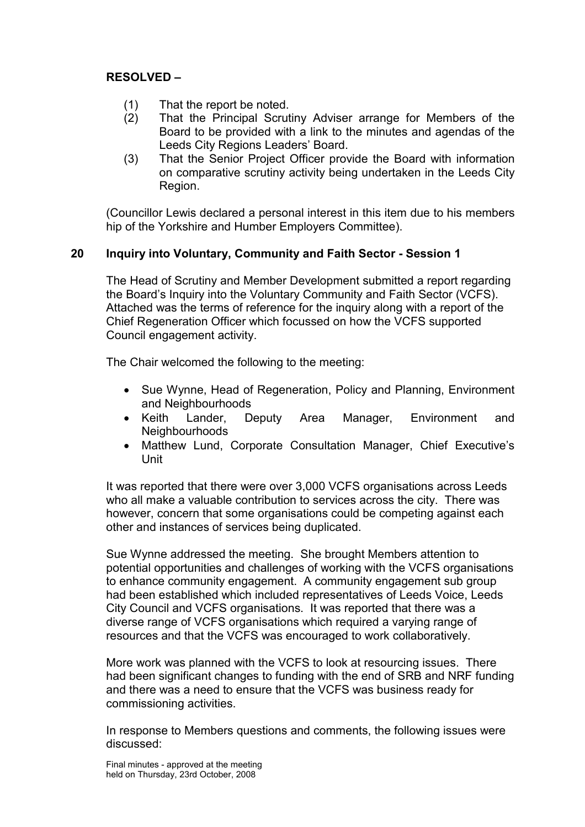## RESOLVED –

- (1) That the report be noted.
- (2) That the Principal Scrutiny Adviser arrange for Members of the Board to be provided with a link to the minutes and agendas of the Leeds City Regions Leaders' Board.
- (3) That the Senior Project Officer provide the Board with information on comparative scrutiny activity being undertaken in the Leeds City Region.

(Councillor Lewis declared a personal interest in this item due to his members hip of the Yorkshire and Humber Employers Committee).

## 20 Inquiry into Voluntary, Community and Faith Sector - Session 1

The Head of Scrutiny and Member Development submitted a report regarding the Board's Inquiry into the Voluntary Community and Faith Sector (VCFS). Attached was the terms of reference for the inquiry along with a report of the Chief Regeneration Officer which focussed on how the VCFS supported Council engagement activity.

The Chair welcomed the following to the meeting:

- Sue Wynne, Head of Regeneration, Policy and Planning, Environment and Neighbourhoods
- Keith Lander, Deputy Area Manager, Environment and **Neighbourhoods**
- Matthew Lund, Corporate Consultation Manager, Chief Executive's Unit

It was reported that there were over 3,000 VCFS organisations across Leeds who all make a valuable contribution to services across the city. There was however, concern that some organisations could be competing against each other and instances of services being duplicated.

Sue Wynne addressed the meeting. She brought Members attention to potential opportunities and challenges of working with the VCFS organisations to enhance community engagement. A community engagement sub group had been established which included representatives of Leeds Voice, Leeds City Council and VCFS organisations. It was reported that there was a diverse range of VCFS organisations which required a varying range of resources and that the VCFS was encouraged to work collaboratively.

More work was planned with the VCFS to look at resourcing issues. There had been significant changes to funding with the end of SRB and NRF funding and there was a need to ensure that the VCFS was business ready for commissioning activities.

In response to Members questions and comments, the following issues were discussed: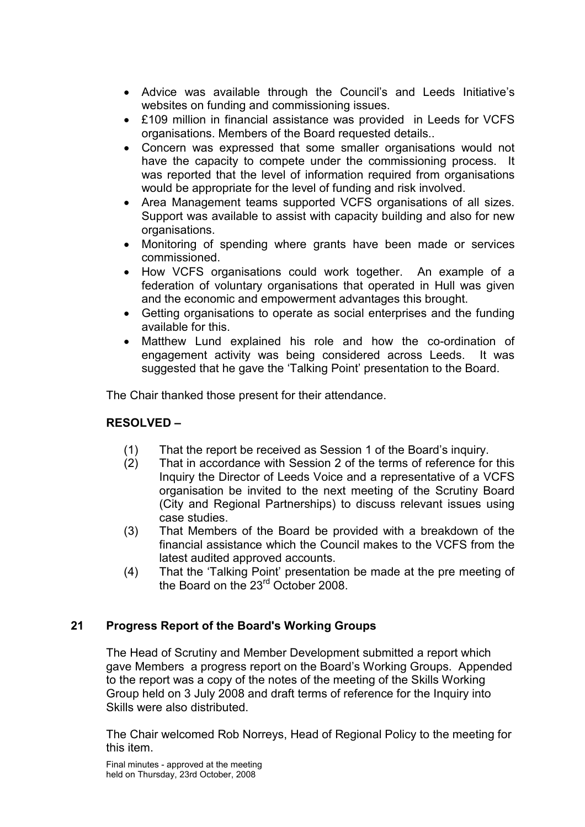- Advice was available through the Council's and Leeds Initiative's websites on funding and commissioning issues.
- £109 million in financial assistance was provided in Leeds for VCFS organisations. Members of the Board requested details..
- Concern was expressed that some smaller organisations would not have the capacity to compete under the commissioning process. It was reported that the level of information required from organisations would be appropriate for the level of funding and risk involved.
- Area Management teams supported VCFS organisations of all sizes. Support was available to assist with capacity building and also for new organisations.
- Monitoring of spending where grants have been made or services commissioned.
- How VCFS organisations could work together. An example of a federation of voluntary organisations that operated in Hull was given and the economic and empowerment advantages this brought.
- Getting organisations to operate as social enterprises and the funding available for this.
- Matthew Lund explained his role and how the co-ordination of engagement activity was being considered across Leeds. It was suggested that he gave the 'Talking Point' presentation to the Board.

The Chair thanked those present for their attendance.

# RESOLVED –

- (1) That the report be received as Session 1 of the Board's inquiry.
- (2) That in accordance with Session 2 of the terms of reference for this Inquiry the Director of Leeds Voice and a representative of a VCFS organisation be invited to the next meeting of the Scrutiny Board (City and Regional Partnerships) to discuss relevant issues using case studies.
- (3) That Members of the Board be provided with a breakdown of the financial assistance which the Council makes to the VCFS from the latest audited approved accounts.
- (4) That the 'Talking Point' presentation be made at the pre meeting of the Board on the 23rd October 2008.

# 21 Progress Report of the Board's Working Groups

The Head of Scrutiny and Member Development submitted a report which gave Members a progress report on the Board's Working Groups. Appended to the report was a copy of the notes of the meeting of the Skills Working Group held on 3 July 2008 and draft terms of reference for the Inquiry into Skills were also distributed.

The Chair welcomed Rob Norreys, Head of Regional Policy to the meeting for this item.